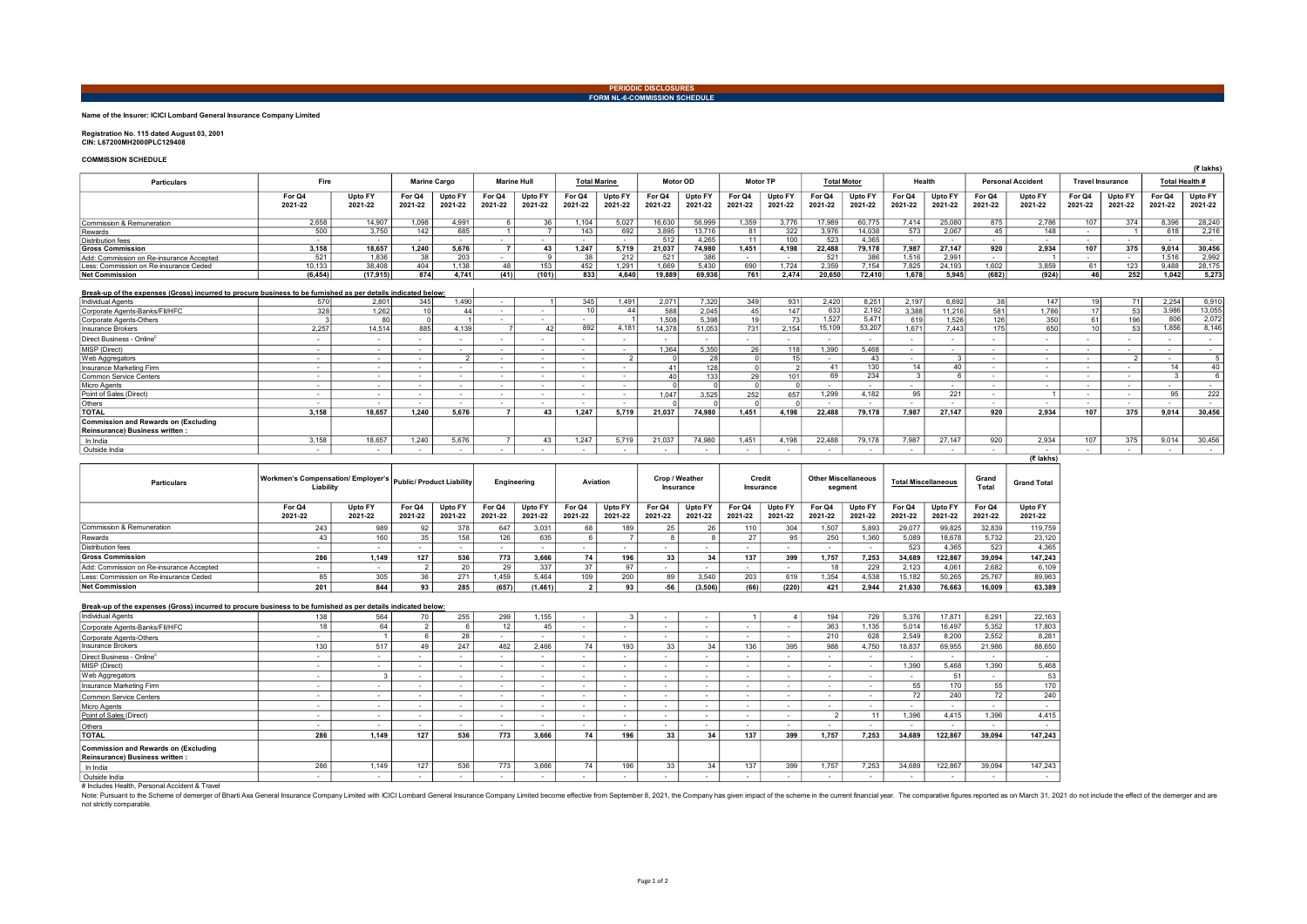PERIODIC DISCLOSURES FORM NL-6-COMMISSION SCHEDULE

## Name of the Insurer: ICICI Lombard General Insurance Company Limited

Registration No. 115 dated August 03, 2001 CIN: L67200MH2000PLC129408

### COMMISSION SCHEDULE

| <b>COMMISSION SUREDULE</b>                                                                                                                |                   |                    |                     |                    |                    |                    |                     |                    |                   |                    |                   |                    |                    |                    |                   |                    |                          |                    |                         |                    |                   | (そ lakhs)          |
|-------------------------------------------------------------------------------------------------------------------------------------------|-------------------|--------------------|---------------------|--------------------|--------------------|--------------------|---------------------|--------------------|-------------------|--------------------|-------------------|--------------------|--------------------|--------------------|-------------------|--------------------|--------------------------|--------------------|-------------------------|--------------------|-------------------|--------------------|
| Particulars                                                                                                                               | Fire              |                    | <b>Marine Cargo</b> |                    | <b>Marine Hull</b> |                    | <b>Total Marine</b> |                    | Motor OD          |                    | <b>Motor TP</b>   |                    | <b>Total Motor</b> |                    | Health            |                    | <b>Personal Accident</b> |                    | <b>Travel Insurance</b> |                    | Total Health #    |                    |
|                                                                                                                                           | For Q4<br>2021-22 | Upto FY<br>2021-22 | For Q4<br>2021-22   | Upto FY<br>2021-22 | For Q4<br>2021-22  | Upto FY<br>2021-22 | For Q4<br>2021-22   | Upto FY<br>2021-22 | For Q4<br>2021-22 | Upto FY<br>2021-22 | For Q4<br>2021-22 | Upto FY<br>2021-22 | For Q4<br>2021-22  | Upto FY<br>2021-22 | For Q4<br>2021-22 | Upto FY<br>2021-22 | For Q4<br>2021-22        | Upto FY<br>2021-22 | For Q4<br>2021-22       | Upto FY<br>2021-22 | For Q4<br>2021-22 | Upto FY<br>2021-22 |
| Commission & Remuneration                                                                                                                 | 2.658             | 14.907             | 1.098               | 4.991              |                    | 36                 | 1.104               | 5.027              | 16.630            | 56,999             | 1.359             | 3.776              | 17.989             | 60.775             | 7.414             | 25,080             | 875                      | 2.786              | 107                     | 374                | 8.396             | 28,240             |
| Rewards                                                                                                                                   | 500               | 3.750              | 142                 | 685                |                    |                    | 143                 | 692                | 3.895             | 13.716             | 81                | 322                | 3.976              | 14,038             | 573               | 2.067              | 45                       | 148                |                         |                    | 618               | 2.216              |
| <b>Distribution fees</b>                                                                                                                  | - 1               | $\sim$             | $\sim$              |                    |                    | $\sim$             | $\sim$              |                    | 512               | 4.265              | 11                | 100                | 523                | 4.365              | $\sim$            | <b>COL</b>         |                          | $\sim$             | $\sim$                  | $\sim$             | $\sim$            | $\sim$             |
| <b>Gross Commission</b>                                                                                                                   | 3.158             | 18.657             | 1.240               | 5.676              |                    | 43                 | 1.247               | 5.719              | 21.037            | 74.980             | 1,451             | 4,198              | 22.488             | 79.178             | 7.987             | 27.147             | 920                      | 2.934              | 107                     | 375                | 9.014             | 30,456             |
| Add: Commission on Re-insurance Accepted                                                                                                  | 521               | 1.836              | 38                  | 203                | ۰.                 |                    | 38                  | 212                | 521               | 386                | - 1               | $\sim$             | 521                | 386                | 1.516             | 2.991              | ۰.                       |                    | $\sim$                  | $\sim$             | 1.516             | 2.992              |
| Less: Commission on Re-insurance Ceded                                                                                                    | 10,133            | 38,408             | 404                 | 1,138              | 48                 | 153                | 452                 | 1,291              | 1,669             | 5.430              | 690               | 1,724              | 2,359              | 7,154              | 7,825             | 24.193             | 1,602                    | 3,859              | 61                      | 123                | 9,488             | 28,175             |
| <b>Net Commission</b>                                                                                                                     | (6, 454)          | (17, 915)          | 874                 | 4.741              | (41)               | (101)              | 833                 | 4.640              | 19,889            | 69.936             | 761               | 2.474              | 20.650             | 72.410             | 1.678             | 5.945              | (682)                    | (924)              | 46                      | 252                | 1.042             | 5,273              |
| Break-up of the expenses (Gross) incurred to procure business to be furnished as per details indicated below:<br><b>Individual Agents</b> | 570               | 2.801              | 345                 | 1.490              | $\sim$             |                    | 345                 | 1,491              | 2.071             | 7.320              | 349               | 931                | 2,420              | 8,251              | 2,197             | 6.692              | 38                       | 147                | 19 <sup>1</sup>         | 71                 | 2,254             | 6,910              |
| Corporate Agents-Banks/FII/HFC                                                                                                            | 328               | 1.262              | 10 <sup>1</sup>     | 44                 |                    | $\sim$             | 10 <sup>1</sup>     | 44                 | 588               | 2.045              | 45                | 147                | 633                | 2,192              | 3.388             | 11.216             | 581                      | 1.786              | 17                      | 53                 | 3.986             | 13,055             |
| Corporate Agents-Others                                                                                                                   |                   | 80                 |                     |                    |                    |                    |                     |                    | 1.508             | 5.398              | 19 <sup>1</sup>   | 73                 | 1,527              | 5,471              | 619               | 1.526              | 126                      | 350                | 61                      | 196                | 806               | 2,072              |
| <b>Insurance Brokers</b>                                                                                                                  | 2.257             | 14.514             | 885                 | 4.139              |                    | 42                 | 892                 | 4,181              | 14.378            | 51.053             | 731               | 2.154              | 15.109             | 53,207             | 1.671             | 7.443              | 175                      | 650                | 10 <sup>1</sup>         | 53                 | 1,856             | 8,146              |
| Direct Business - Online <sup>c</sup>                                                                                                     |                   |                    | . .                 |                    |                    | $\sim$             |                     |                    | . .               |                    |                   | $\sim$             |                    |                    | . .               |                    |                          |                    |                         | $\sim$             | . .               | $\sim$             |
| MISP (Direct)                                                                                                                             | ٠.                | - 30               | . .                 | х.                 |                    | $\sim$             | ٠.                  |                    | 1.364             | 5.350              | <b>26</b>         | 118                | 1.390              | 5.468              | $\sim$            | . .                |                          | $\sim$             |                         | $\sim$             | . .               | $\sim$             |
| Web Aggregators                                                                                                                           | - 1               | - 30               | . .                 | $\mathcal{P}$      | $\sim$             | $\sim$             |                     | $\sim$             |                   | 28                 | $\Omega$          |                    | . .                | 43                 | $\sim$            | $\mathbf{3}$       |                          |                    | $\sim$                  | $\sim$             |                   | 5 <sub>1</sub>     |
| Insurance Marketing Firm                                                                                                                  | - 1               | . .                | . .                 | . .                | $\sim$             | $\sim$             | . .                 | ۰.                 | 41                | 128                |                   |                    | 41                 | 130                | 14                | 40                 |                          | $\sim$             | . .                     | $\sim$             | 14                | 40                 |
| Common Service Centers                                                                                                                    | - 1               | - 30               | . .                 | х.                 |                    | $\sim$             | ٠.                  |                    | $\Delta$ ſ        | 133                | 29                | 101                | 69                 | 234                |                   |                    |                          | $\sim$             |                         | $\sim$             | $\mathbf{R}$      | 6 <sup>1</sup>     |
| <b>Micro Agents</b>                                                                                                                       | ٠.                | - 30               | . .                 |                    | $\sim$             | $\sim$             |                     |                    |                   |                    |                   |                    |                    |                    | . .               | <b>COL</b>         |                          | $\sim$             |                         | $\sim$             | . .               | $\sim$             |
| Point of Sales (Direct)                                                                                                                   | - 1               | . .                | . .                 | . .                | $\sim$             | $\sim$             | . .                 | . .                | 1.047             | 3,525              | 252               | 657                | 1.299              | 4.182              | 95                | 221                | ٠.                       |                    |                         | $\sim$             | 95                | 222                |
| Others                                                                                                                                    |                   |                    | . .                 |                    |                    | $\sim$             |                     |                    |                   |                    |                   |                    |                    |                    | $\sim$            | . .                |                          |                    |                         | ٠.                 | . .               | $\sim$             |
| <b>TOTAL</b>                                                                                                                              | 3.158             | 18.657             | 1.240               | 5.676              | $\overline{ }$     | 43                 | 1.247               | 5.719              | 21.037            | 74.980             | 1.451             | 4.198              | 22,488             | 79.178             | 7.987             | 27.147             | 920                      | 2.934              | 107                     | 375                | 9.014             | 30.456             |
| <b>Commission and Rewards on (Excluding</b><br>Reinsurance) Business written:                                                             |                   |                    |                     |                    |                    |                    |                     |                    |                   |                    |                   |                    |                    |                    |                   |                    |                          |                    |                         |                    |                   |                    |
| In India                                                                                                                                  | 3,158             | 18,657             | 1.240               | 5.676              |                    | 43                 | 1.247               | 5.719              | 21,037            | 74.980             | 1,451             | 4,198              | 22.488             | 79.178             | 7,987             | 27.147             | 920                      | 2.934              | 107                     | 375                | 9.014             | 30,456             |

Outside India - - - - - - - - - - - - - - - - - - - - - -

(₹ lakhs)

| <b>Particulars</b>                       | Workmen's Compensation/ Employer's   Public/ Product Liability<br>Liability |                    |                   |                    | Engineering       |                    | Aviation          |                    | Crop / Weather<br>Insurance |                    | Credit<br>Insurance |                    | <b>Other Miscellaneous</b><br>segment |                    | <b>Total Miscellaneous</b> |                    | Grand<br>Total    | <b>Grand Total</b> |
|------------------------------------------|-----------------------------------------------------------------------------|--------------------|-------------------|--------------------|-------------------|--------------------|-------------------|--------------------|-----------------------------|--------------------|---------------------|--------------------|---------------------------------------|--------------------|----------------------------|--------------------|-------------------|--------------------|
|                                          | For Q4<br>2021-22                                                           | Upto FY<br>2021-22 | For Q4<br>2021-22 | Upto FY<br>2021-22 | For Q4<br>2021-22 | Upto FY<br>2021-22 | For Q4<br>2021-22 | Upto FY<br>2021-22 | For Q4<br>2021-22           | Upto FY<br>2021-22 | For Q4<br>2021-22   | Upto FY<br>2021-22 | For Q4<br>2021-22                     | Upto FY<br>2021-22 | For Q4<br>2021-22          | Upto FY<br>2021-22 | For Q4<br>2021-22 | Upto FY<br>2021-22 |
| Commission & Remuneration                | 243                                                                         | 989                |                   | 378                | 647               | 3.031              | 68                | 189                |                             |                    |                     | 304                | 1.507                                 | 5.893              | 29.077                     | 99.825             | 32.839            | 119,759            |
| Rewards                                  | 43                                                                          | 160                |                   | 158                | 126               | 635                |                   |                    |                             |                    |                     | 95                 | 250                                   | 1.360              | 5.089                      | 18.678             | 5.732             | 23,120             |
| Distribution fees                        |                                                                             |                    |                   |                    |                   |                    |                   |                    |                             |                    |                     |                    |                                       |                    | 523                        | 4.365              | 523               | 4,365              |
| <b>Gross Commission</b>                  | 286                                                                         | 1.149              | 127               | 536                | 773               | 3.666              | 74                | 196                | 33                          |                    | 137                 | 399                | 1.757                                 | 7.253              | 34.689                     | 122.867            | 39.094            | 147,243            |
| Add: Commission on Re-insurance Accepted |                                                                             |                    |                   |                    | 29                | 337                |                   |                    |                             |                    |                     |                    |                                       | 229                | 2.123                      | 4,061              | 2.682             | 6,109              |
| Less: Commission on Re-insurance Ceded   | 85                                                                          |                    |                   | 271                | 1.459             | 5.464              | 109               | 200                | 89                          | 3.540              | 203                 | 619                | .354                                  | 4.538              | 15.182                     | 50,265             | 25.767            | 89,963             |
| <b>Net Commission</b>                    | 201                                                                         | 844                | 93                | 285                | (657)             | (1,461)            |                   | 93                 |                             | (3, 506)           | (66)                | (220)              | 421                                   | 2.944              | 21.630                     | 76.663             | 16.009            | 63,389             |

| Break-up of the expenses (Gross) incurred to procure business to be furnished as per details indicated below: |     |       |     |              |        |                          |        |     |    |    |     |        |                          |        |        |         |        |         |
|---------------------------------------------------------------------------------------------------------------|-----|-------|-----|--------------|--------|--------------------------|--------|-----|----|----|-----|--------|--------------------------|--------|--------|---------|--------|---------|
| <b>Individual Agents</b>                                                                                      | 138 | 564   | 70  | 255          | 299    | 1.155                    |        |     |    |    |     |        | 194                      | 729    | 5,376  | 17.871  | 6.291  | 22,163  |
| Corporate Agents-Banks/FII/HFC                                                                                | 18  | 64    |     |              | 12     | 45                       |        |     |    |    |     |        | 363                      | 1.135  | 5.014  | 16.497  | 5.352  | 17,803  |
| Corporate Agents-Others                                                                                       | . . |       |     | 28           | $\sim$ | ۰.                       |        |     |    |    |     | . .    | 210                      | 628    | 2.549  | 8.200   | 2.552  | 8,281   |
| Insurance Brokers                                                                                             | 130 | 517   | 49  | 247          | 462    | 2.466                    | 74     | 193 | 33 | 34 | 136 | 395    | 988                      | 4.750  | 18.837 | 69.955  | 21,986 | 88,650  |
| Direct Business - Online <sup>c</sup>                                                                         | . . |       |     |              | $\sim$ |                          |        |     |    |    |     | . .    |                          | $\sim$ | $\sim$ |         | $\sim$ | . .     |
| MISP (Direct)                                                                                                 |     |       |     | . .          | $\sim$ | $\overline{\phantom{a}}$ |        |     |    |    |     | . .    |                          |        | 1.390  | 5.468   | 1.390  | 5,468   |
| Web Aggregators                                                                                               |     |       |     | <b>1999</b>  |        |                          |        |     |    |    |     | $\sim$ |                          |        |        | 51      |        | 53      |
| Insurance Marketing Firm                                                                                      |     |       |     | <b>1999</b>  | $\sim$ | $\sim$                   | $\sim$ |     |    |    |     | $\sim$ | - 1                      | $\sim$ | 55     | 170     | 55     | 170     |
| Common Service Centers                                                                                        | . . |       |     | <b>COLUM</b> | $\sim$ | $\sim$                   | $\sim$ |     |    |    |     | $\sim$ | $\overline{\phantom{a}}$ | $\sim$ | 72     | 240     | 72     | 240     |
| Micro Agents                                                                                                  |     |       |     | $\sim$       | $\sim$ |                          | $\sim$ |     |    |    |     | $\sim$ | $\sim$                   | $\sim$ |        |         | $\sim$ |         |
| Point of Sales (Direct)                                                                                       | . . |       |     | $\sim$       | $\sim$ | $\sim$                   | . .    |     |    |    |     | $\sim$ |                          | 11     | 1.396  | 4.415   | 1.396  | 4,415   |
| Others                                                                                                        |     |       |     | $\sim$       | $\sim$ | $\sim$                   | $\sim$ |     |    |    |     | . .    |                          |        |        |         |        |         |
| <b>TOTAL</b>                                                                                                  | 286 | 1.149 | 127 | 536          | 773    | 3.666                    | 74.    | 196 | 33 | 34 | 137 | 399    | 1.757                    | 7.253  | 34.689 | 122.867 | 39.094 | 147.243 |
| Commission and Rewards on (Excluding                                                                          |     |       |     |              |        |                          |        |     |    |    |     |        |                          |        |        |         |        |         |
| Reinsurance) Business written :                                                                               |     |       |     |              |        |                          |        |     |    |    |     |        |                          |        |        |         |        |         |
| In India                                                                                                      | 286 | 1.149 | 127 | 536          | 773    | 3.666                    | 74     | 196 | 33 | 34 | 137 | 399    | 1,757                    | 7.253  | 34,689 | 122.867 | 39,094 | 147.243 |
| Outside India                                                                                                 |     |       |     | $\sim$       | . .    |                          | $\sim$ |     |    |    |     | . .    |                          |        |        |         |        |         |

# Includes Health, Personal Accident & Travel

™ hukukus header be been different of the democration and are effect of the democratic and are company Limited betware Company Limited become effective from September 8, 2021, the Company has given impact of the scheme in not strictly comparable.